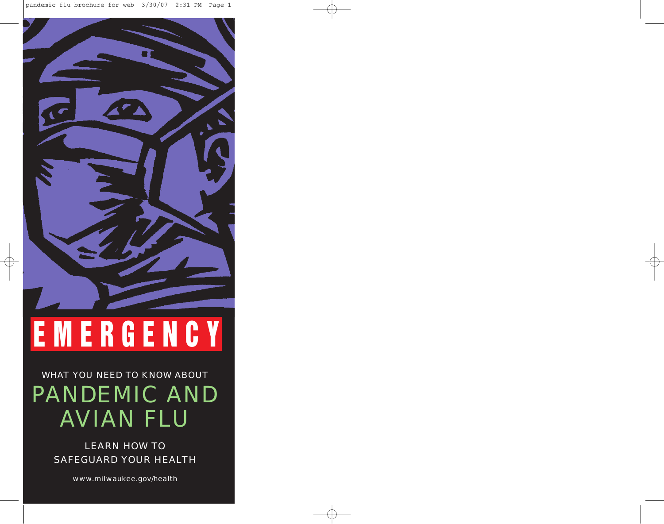# **EMERGENCY**

# WHAT YOU NEED TO KNOW ABOUT PANDEMIC AND AVIAN FLU

LEARN HOW TO SAFEGUARD YOUR HEALTH

www.milwaukee.gov/health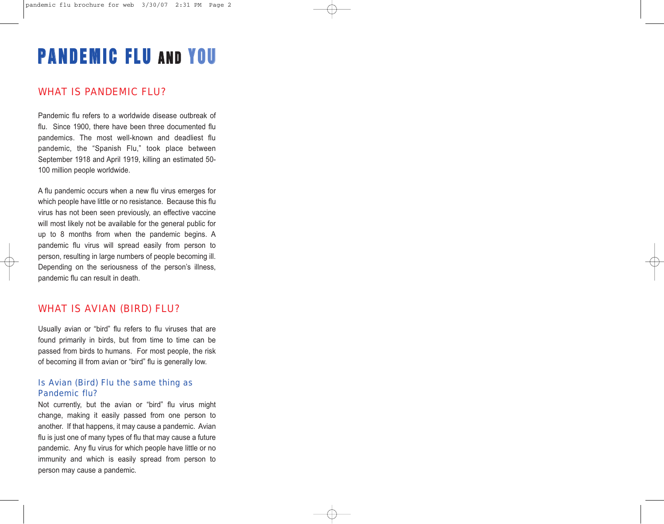# **P AND EMI C F L U AND YOU**

# WHAT IS PANDEMIC FLU?

Pandemic flu refers to a worldwide disease outbreak of flu. Since 1900, there have been three documented flu pandemics. The most well-known and deadliest flu pandemic, the "Spanish Flu," took place between September 1918 and April 1919, killing an estimated 50- 100 million people worldwide.

A flu pandemic occurs when a new flu virus emerges for which people have little or no resistance. Because this flu virus has not been seen previously, an effective vaccine will most likely not be available for the general public for up to 8 months from when the pandemic begins. A pandemic flu virus will spread easily from person to person, resulting in large numbers of people becoming ill. Depending on the seriousness of the person's illness, pandemic flu can result in death.

# WHAT IS AVIAN (BIRD) FLU?

Usually avian or "bird" flu refers to flu viruses that are found primarily in birds, but from time to time can be passed from birds to humans. For most people, the risk of becoming ill from avian or "bird" flu is generally low.

#### Is Avian (Bird) Flu the same thing as Pandemic flu?

Not currently, but the avian or "bird" flu virus might change, making it easily passed from one person to another. If that happens, it may cause a pandemic. Avian flu is just one of many types of flu that may cause a future pandemic. Any flu virus for which people have little or no immunity and which is easily spread from person to person may cause a pandemic.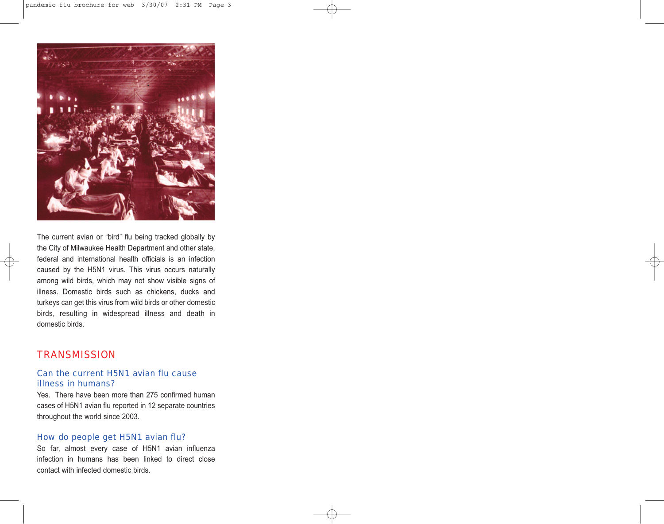

The current avian or "bird" flu being tracked globally by the City of Milwaukee Health Department and other state, federal and international health officials is an infection caused by the H5N1 virus. This virus occurs naturally among wild birds, which may not show visible signs of illness. Domestic birds such as chickens, ducks and turkeys can get this virus from wild birds or other domestic birds, resulting in widespread illness and death in domestic birds.

# TRANSMISSION

#### Can the current H5N1 avian flu cause illness in humans?

Yes. There have been more than 275 confirmed human cases of H5N1 avian flu reported in 12 separate countries throughout the world since 2003.

#### How do people get H5N1 avian flu?

So far, almost every case of H5N1 avian influenza infection in humans has been linked to direct close contact with infected domestic birds.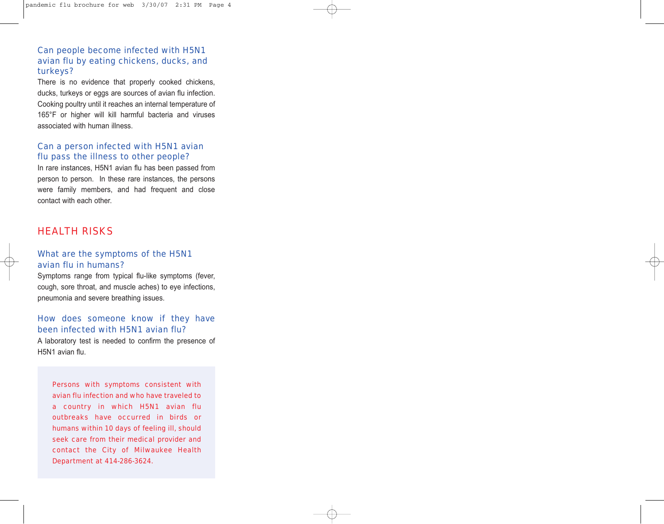#### Can people become infected with H5N1 avian flu by eating chickens, ducks, and turkeys?

There is no evidence that properly cooked chickens, ducks, turkeys or eggs are sources of avian flu infection. Cooking poultry until it reaches an internal temperature of 165°F or higher will kill harmful bacteria and viruses associated with human illness.

#### Can a person infected with H5N1 avian flu pass the illness to other people?

In rare instances, H5N1 avian flu has been passed from person to person. In these rare instances, the persons were family members, and had frequent and close contact with each other.

### HEALTH RISKS

#### What are the symptoms of the H5N1 avian flu in humans?

Symptoms range from typical flu-like symptoms (fever, cough, sore throat, and muscle aches) to eye infections, pneumonia and severe breathing issues.

#### How does someone know if they have been infected with H5N1 avian flu?

A laboratory test is needed to confirm the presence of H5N1 avian flu.

Persons with symptoms consistent with avian flu infection and who have traveled to a country in which H5N1 avian flu outbreaks have occurred in birds or humans within 10 days of feeling ill, should seek care from their medical provider and contact the City of Milwaukee Health Department at 414-286-3624.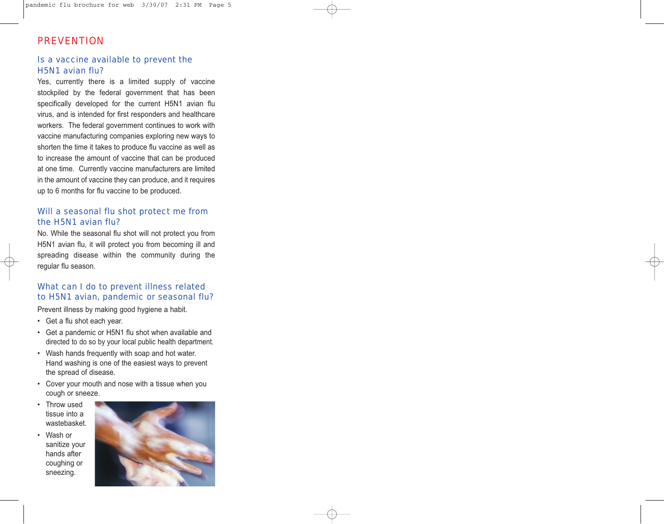### **PREVENTION**

#### Is a vaccine available to prevent the H5N1 avian flu?

Yes, currently there is a limited supply of vaccine stockpiled by the federal government that has been specifically developed for the current H5N1 avian flu virus, and is intended for first responders and healthcare workers. The federal government continues to work with vaccine manufacturing companies exploring new ways to shorten the time it takes to produce flu vaccine as well as to increase the amount of vaccine that can be produced at one time. Currently vaccine manufacturers are limited in the amount of vaccine they can produce, and it requires up to 6 months for flu vaccine to be produced.

#### Will a seasonal flu shot protect me from the H5N1 avian flu?

No. While the seasonal flu shot will not protect you from H5N1 avian flu, it will protect you from becoming ill and spreading disease within the community during the regular flu season.

#### What can I do to prevent illness related to H5N1 avian, pandemic or seasonal flu?

Prevent illness by making good hygiene a habit.

- Get a flu shot each year.
- Get a pandemic or H5N1 flu shot when available and directed to do so by your local public health department.
- Wash hands frequently with soap and hot water. Hand washing is one of the easiest ways to prevent the spread of disease.
- Cover your mouth and nose with a tissue when you cough or sneeze.
- Throw used tissue into a wastebasket.
- Wash or sanitize your hands after coughing or sneezing.